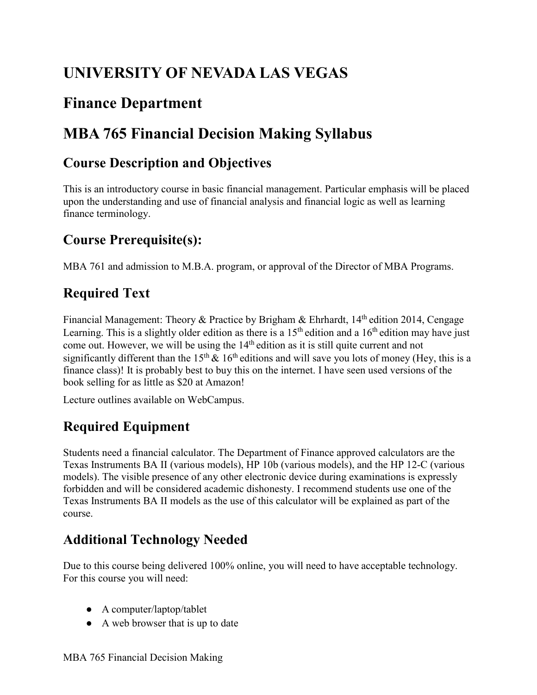# **UNIVERSITY OF NEVADA LAS VEGAS**

# **Finance Department**

# **MBA 765 Financial Decision Making Syllabus**

#### **Course Description and Objectives**

This is an introductory course in basic financial management. Particular emphasis will be placed upon the understanding and use of financial analysis and financial logic as well as learning finance terminology.

#### **Course Prerequisite(s):**

MBA 761 and admission to M.B.A. program, or approval of the Director of MBA Programs.

#### **Required Text**

Financial Management: Theory & Practice by Brigham & Ehrhardt, 14<sup>th</sup> edition 2014, Cengage finance class)! It is probably best to buy this on the internet. I have seen used versions of the book selling for as little as \$20 at Amazon! Learning. This is a slightly older edition as there is a  $15<sup>th</sup>$  edition and a  $16<sup>th</sup>$  edition may have just come out. However, we will be using the  $14<sup>th</sup>$  edition as it is still quite current and not significantly different than the 15<sup>th</sup>  $\&$  16<sup>th</sup> editions and will save you lots of money (Hey, this is a

Lecture outlines available on WebCampus.

### **Required Equipment**

 Students need a financial calculator. The Department of Finance approved calculators are the Texas Instruments BA II (various models), HP 10b (various models), and the HP 12-C (various models). The visible presence of any other electronic device during examinations is expressly Texas Instruments BA II models as the use of this calculator will be explained as part of the forbidden and will be considered academic dishonesty. I recommend students use one of the course.

#### **Additional Technology Needed**

 For this course you will need: Due to this course being delivered 100% online, you will need to have acceptable technology.

- A computer/laptop/tablet
- A web browser that is up to date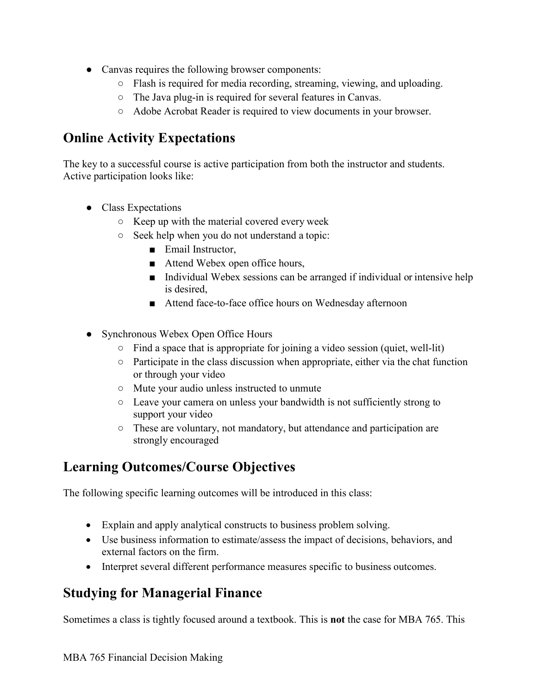- Canvas requires the following browser components:
	- [Flash i](http://helpx.adobe.com/flash-player.html)s required for media recording, streaming, viewing, and uploading.
	- The [Java plug-in i](http://www.java.com/en/download/testjava.jsp)s required for several features in Canvas.
	- [Adobe Acrobat Reader i](http://get.adobe.com/reader/)s required to view documents in your browser.

#### **Online Activity Expectations**

The key to a successful course is active participation from both the instructor and students. Active participation looks like:

- Class Expectations
	- Keep up with the material covered every week
	- ○ Seek help when you do not understand a topic:
		- Email Instructor,
		- Attend Webex open office hours,
		- is desired, ■ Individual Webex sessions can be arranged if individual or intensive help
		- Attend face-to-face office hours on Wednesday afternoon
- ● Synchronous Webex Open Office Hours
	- Find a space that is appropriate for joining a video session (quiet, well-lit)
	- or through your video ○ Participate in the class discussion when appropriate, either via the chat function
	- Mute your audio unless instructed to unmute
	- support your video ○ Leave your camera on unless your bandwidth is not sufficiently strong to
	- strongly encouraged ○ These are voluntary, not mandatory, but attendance and participation are

#### **Learning Outcomes/Course Objectives**

The following specific learning outcomes will be introduced in this class:

- Explain and apply analytical constructs to business problem solving.
- Use business information to estimate/assess the impact of decisions, behaviors, and external factors on the firm.
- Interpret several different performance measures specific to business outcomes.

#### **Studying for Managerial Finance**

Sometimes a class is tightly focused around a textbook. This is **not** the case for MBA 765. This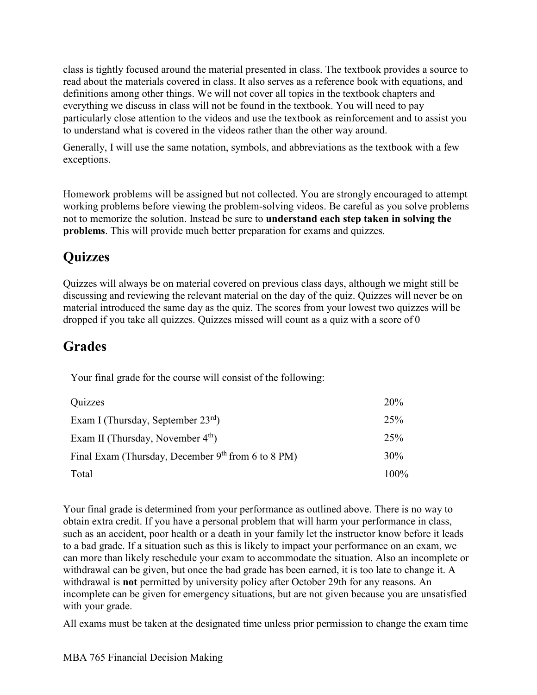class is tightly focused around the material presented in class. The textbook provides a source to read about the materials covered in class. It also serves as a reference book with equations, and definitions among other things. We will not cover all topics in the textbook chapters and everything we discuss in class will not be found in the textbook. You will need to pay particularly close attention to the videos and use the textbook as reinforcement and to assist you to understand what is covered in the videos rather than the other way around.

Generally, I will use the same notation, symbols, and abbreviations as the textbook with a few exceptions.

Homework problems will be assigned but not collected. You are strongly encouraged to attempt working problems before viewing the problem-solving videos. Be careful as you solve problems not to memorize the solution. Instead be sure to **understand each step taken in solving the problems**. This will provide much better preparation for exams and quizzes.

# **Quizzes**

 material introduced the same day as the quiz. The scores from your lowest two quizzes will be dropped if you take all quizzes. Quizzes missed will count as a quiz with a score of 0 Quizzes will always be on material covered on previous class days, although we might still be discussing and reviewing the relevant material on the day of the quiz. Quizzes will never be on

### **Grades**

Your final grade for the course will consist of the following:

| Quizzes                                              | 20%     |
|------------------------------------------------------|---------|
| Exam I (Thursday, September $23rd$ )                 | 25%     |
| Exam II (Thursday, November $4th$ )                  | 25%     |
| Final Exam (Thursday, December $9th$ from 6 to 8 PM) | $30\%$  |
| Total                                                | $100\%$ |

 to a bad grade. If a situation such as this is likely to impact your performance on an exam, we can more than likely reschedule your exam to accommodate the situation. Also an incomplete or Your final grade is determined from your performance as outlined above. There is no way to obtain extra credit. If you have a personal problem that will harm your performance in class, such as an accident, poor health or a death in your family let the instructor know before it leads withdrawal can be given, but once the bad grade has been earned, it is too late to change it. A withdrawal is **not** permitted by university policy after October 29th for any reasons. An incomplete can be given for emergency situations, but are not given because you are unsatisfied with your grade.

All exams must be taken at the designated time unless prior permission to change the exam time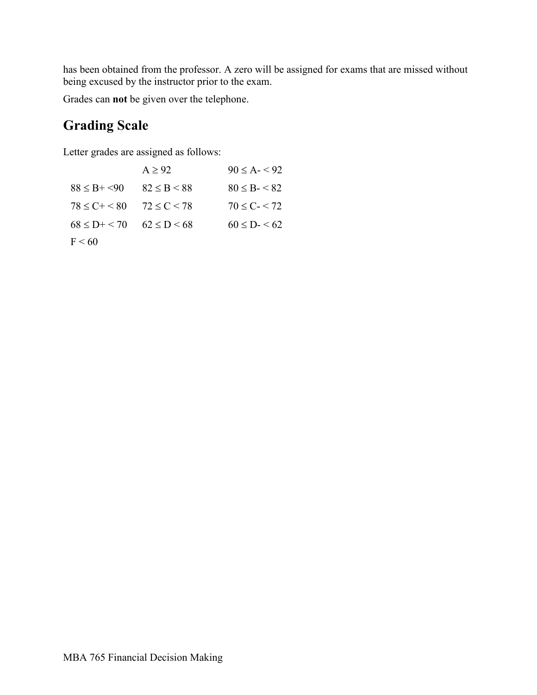being excused by the instructor prior to the exam. has been obtained from the professor. A zero will be assigned for exams that are missed without

Grades can **not** be given over the telephone.

#### **Grading Scale**

Letter grades are assigned as follows:

|                                       | $A \geq 92$       | $90 \le A - 92$       |
|---------------------------------------|-------------------|-----------------------|
| $88 \le B + \le 90$                   | $82 \le B \le 88$ | $80 \leq B - \leq 82$ |
| $78 \le C + \le 80$ $72 \le C \le 78$ |                   | $70 \leq C - 72$      |
| $68 \le D + \le 70$ $62 \le D \le 68$ |                   | $60 \le D - 62$       |
| F < 60                                |                   |                       |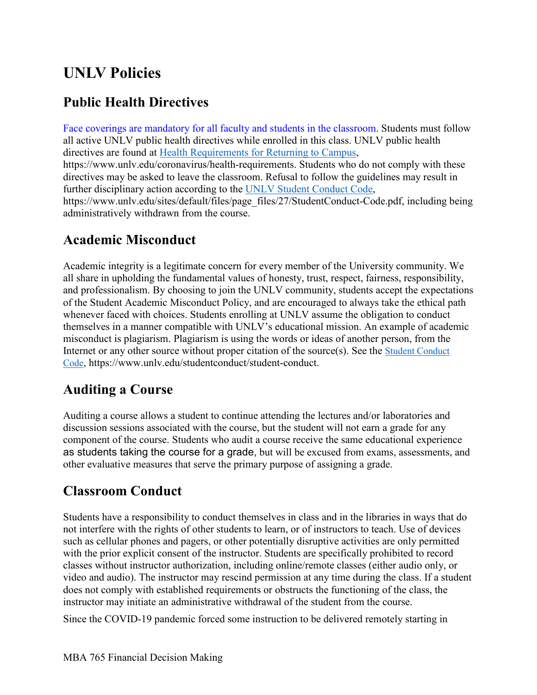# **UNLV Policies**

#### **Public Health Directives**

directives are found at **Health Requirements for Returning to Campus**, Face coverings are mandatory for all faculty and students in the classroom. Students must follow all active UNLV public health directives while enrolled in this class. UNLV public health <https://www.unlv.edu/coronavirus/health-requirements>. Students who do not comply with these directives may be asked to leave the classroom. Refusal to follow the guidelines may result in further disciplinary action according to the [UNLV Student Conduct Code,](https://www.unlv.edu/sites/default/files/page_files/27/StudentConduct-Code.pdf) [https://www.unlv.edu/sites/default/files/page\\_files/27/StudentConduct-Code.pdf](https://www.unlv.edu/sites/default/files/page_files/27/StudentConduct-Code.pdf), including being administratively withdrawn from the course.

### **Academic Misconduct**

Academic integrity is a legitimate concern for every member of the University community. We all share in upholding the fundamental values of honesty, trust, respect, fairness, responsibility, and professionalism. By choosing to join the UNLV community, students accept the expectations of the Student Academic Misconduct Policy, and are encouraged to always take the ethical path whenever faced with choices. Students enrolling at UNLV assume the obligation to conduct themselves in a manner compatible with UNLV's educational mission. An example of academic misconduct is plagiarism. Plagiarism is using the words or ideas of another person, from the Internet or any other source without proper citation of the source(s). See the Student Conduct [Code,](https://www.unlv.edu/sites/default/files/page_files/27/StudentConduct-Code.pdf)<https://www.unlv.edu/studentconduct/student-conduct>.

# **Auditing a Course**

 discussion sessions associated with the course, but the student will not earn a grade for any other evaluative measures that serve the primary purpose of assigning a grade. Auditing a course allows a student to continue attending the lectures and/or laboratories and component of the course. Students who audit a course receive the same educational experience as students taking the course for a grade, but will be excused from exams, assessments, and

# **Classroom Conduct**

 video and audio). The instructor may rescind permission at any time during the class. If a student Students have a responsibility to conduct themselves in class and in the libraries in ways that do not interfere with the rights of other students to learn, or of instructors to teach. Use of devices such as cellular phones and pagers, or other potentially disruptive activities are only permitted with the prior explicit consent of the instructor. Students are specifically prohibited to record classes without instructor authorization, including online/remote classes (either audio only, or does not comply with established requirements or obstructs the functioning of the class, the instructor may initiate an administrative withdrawal of the student from the course.

Since the COVID-19 pandemic forced some instruction to be delivered remotely starting in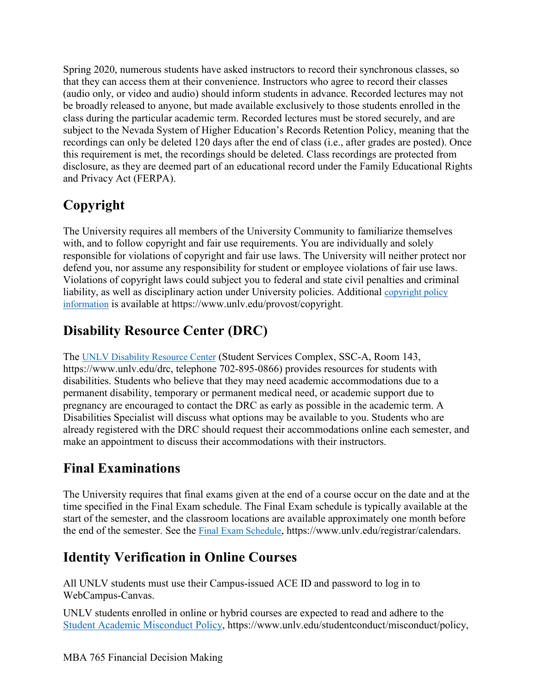Spring 2020, numerous students have asked instructors to record their synchronous classes, so that they can access them at their convenience. Instructors who agree to record their classes (audio only, or video and audio) should inform students in advance. Recorded lectures may not be broadly released to anyone, but made available exclusively to those students enrolled in the class during the particular academic term. Recorded lectures must be stored securely, and are subject to the Nevada System of Higher Education's Records Retention Policy, meaning that the recordings can only be deleted 120 days after the end of class (i.e., after grades are posted). Once this requirement is met, the recordings should be deleted. Class recordings are protected from disclosure, as they are deemed part of an educational record under the Family Educational Rights and Privacy Act (FERPA).

# **Copyright**

liability, as well as disciplinary action under University policies. Additional copyright policy The University requires all members of the University Community to familiarize themselves with, and to follow copyright and fair use requirements. You are individually and solely responsible for violations of copyright and fair use laws. The University will neither protect nor defend you, nor assume any responsibility for student or employee violations of fair use laws. Violations of copyright laws could subject you to federal and state civil penalties and criminal [information](http://www.unlv.edu/provost/copyright) is available at [https://www.unlv.edu/provost/copyright.](https://www.unlv.edu/provost/copyright)

# **Disability Resource Center (DRC)**

The **UNLV Disability Resource Center** (Student Services Complex, SSC-A, Room 143, [https://www.unlv.edu/drc,](https://www.unlv.edu/drc) telephone 702-895-0866) provides resources for students with disabilities. Students who believe that they may need academic accommodations due to a permanent disability, temporary or permanent medical need, or academic support due to pregnancy are encouraged to contact the DRC as early as possible in the academic term. A Disabilities Specialist will discuss what options may be available to you. Students who are already registered with the DRC should request their accommodations online each semester, and make an appointment to discuss their accommodations with their instructors.

### **Final Examinations**

The University requires that final exams given at the end of a course occur on the date and at the time specified in the Final Exam schedule. The Final Exam schedule is typically available at the start of the semester, and the classroom locations are available approximately one month before the end of the semester. See the **Final Exam Schedule**, [https://www.unlv.edu/registrar/calendars.](https://www.unlv.edu/registrar/calendars)

# **Identity Verification in Online Courses**

All UNLV students must use their Campus-issued ACE ID and password to log in to WebCampus-Canvas.

UNLV students enrolled in online or hybrid courses are expected to read and adhere to the [Student Academic Misconduct Policy,](https://www.unlv.edu/studentconduct/misconduct/policy) [https://www.unlv.edu/studentconduct/misconduct/policy,](https://www.unlv.edu/studentconduct/misconduct/policy)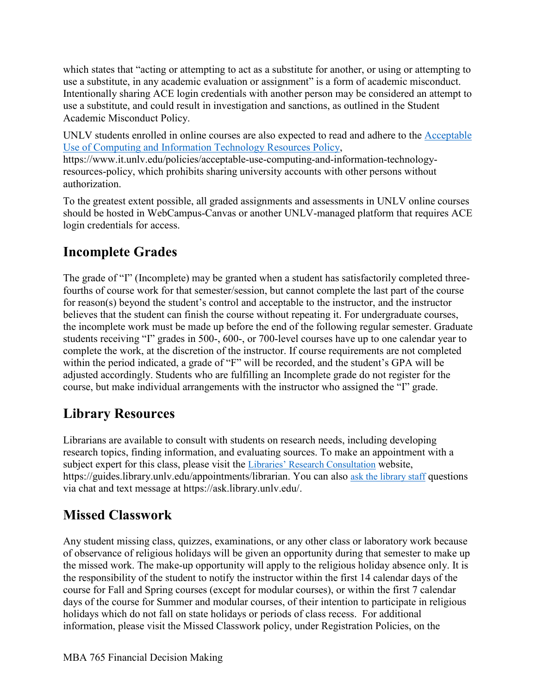Intentionally sharing ACE login credentials with another person may be considered an attempt to which states that "acting or attempting to act as a substitute for another, or using or attempting to use a substitute, in any academic evaluation or assignment" is a form of academic misconduct. use a substitute, and could result in investigation and sanctions, as outlined in the Student Academic Misconduct Policy.

UNLV students enrolled in online courses are also expected to read and adhere to the [Acceptable](https://www.it.unlv.edu/policies/acceptable-use-computing-and-information-technology-resources-policy)  [Use of Computing and Information Technology Resources Policy,](https://www.it.unlv.edu/policies/acceptable-use-computing-and-information-technology-resources-policy) <https://www.it.unlv.edu/policies/acceptable-use-computing-and-information-technology>resources-policy, which prohibits sharing university accounts with other persons without authorization.

To the greatest extent possible, all graded assignments and assessments in UNLV online courses should be hosted in WebCampus-Canvas or another UNLV-managed platform that requires ACE login credentials for access.

### **Incomplete Grades**

 students receiving "I" grades in 500-, 600-, or 700-level courses have up to one calendar year to within the period indicated, a grade of "F" will be recorded, and the student's GPA will be course, but make individual arrangements with the instructor who assigned the "I" grade. The grade of "I" (Incomplete) may be granted when a student has satisfactorily completed threefourths of course work for that semester/session, but cannot complete the last part of the course for reason(s) beyond the student's control and acceptable to the instructor, and the instructor believes that the student can finish the course without repeating it. For undergraduate courses, the incomplete work must be made up before the end of the following regular semester. Graduate complete the work, at the discretion of the instructor. If course requirements are not completed adjusted accordingly. Students who are fulfilling an Incomplete grade do not register for the

#### **Library Resources**

<https://guides.library.unlv.edu/appointments/librarian>. You can also [ask the library staff](http://ask.library.unlv.edu/) questions Librarians are available to consult with students on research needs, including developing research topics, finding information, and evaluating sources. To make an appointment with a subject expert for this class, please visit the [Libraries' Research Consultation](http://guides.library.unlv.edu/appointments/librarian) website, via chat and text message at<https://ask.library.unlv.edu>/.

### **Missed Classwork**

Any student missing class, quizzes, examinations, or any other class or laboratory work because of observance of religious holidays will be given an opportunity during that semester to make up the missed work. The make-up opportunity will apply to the religious holiday absence only. It is the responsibility of the student to notify the instructor within the first 14 calendar days of the course for Fall and Spring courses (except for modular courses), or within the first 7 calendar days of the course for Summer and modular courses, of their intention to participate in religious holidays which do not fall on state holidays or periods of class recess. For additional information, please visit the Missed Classwork policy, under Registration Policies, on the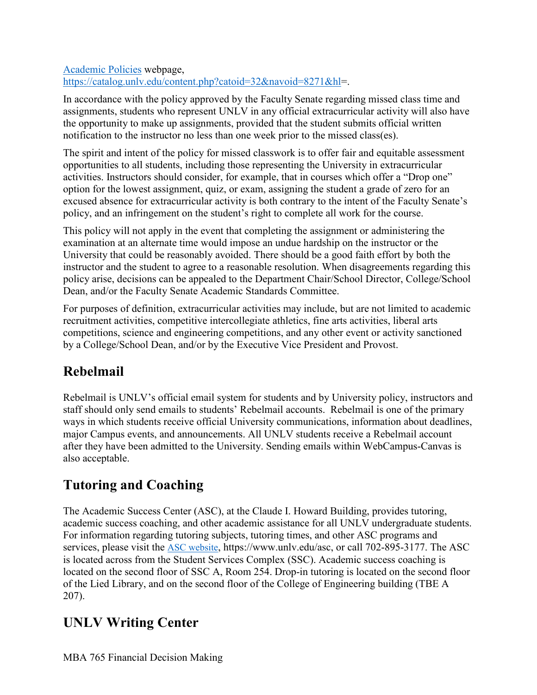#### [Academic Policies](https://catalog.unlv.edu/content.php?catoid=32&navoid=8271&hl=) webpage, [https://catalog.unlv.edu/content.php?catoid=32&navoid=8271&hl=](https://catalog.unlv.edu/content.php?catoid=32&navoid=8271&hl).

In accordance with the policy approved by the Faculty Senate regarding missed class time and assignments, students who represent UNLV in any official extracurricular activity will also have the opportunity to make up assignments, provided that the student submits official written notification to the instructor no less than one week prior to the missed class(es).

 The spirit and intent of the policy for missed classwork is to offer fair and equitable assessment activities. Instructors should consider, for example, that in courses which offer a "Drop one" opportunities to all students, including those representing the University in extracurricular option for the lowest assignment, quiz, or exam, assigning the student a grade of zero for an excused absence for extracurricular activity is both contrary to the intent of the Faculty Senate's policy, and an infringement on the student's right to complete all work for the course.

 instructor and the student to agree to a reasonable resolution. When disagreements regarding this This policy will not apply in the event that completing the assignment or administering the examination at an alternate time would impose an undue hardship on the instructor or the University that could be reasonably avoided. There should be a good faith effort by both the policy arise, decisions can be appealed to the Department Chair/School Director, College/School Dean, and/or the Faculty Senate Academic Standards Committee.

For purposes of definition, extracurricular activities may include, but are not limited to academic recruitment activities, competitive intercollegiate athletics, fine arts activities, liberal arts competitions, science and engineering competitions, and any other event or activity sanctioned by a College/School Dean, and/or by the Executive Vice President and Provost.

### **Rebelmail**

 Rebelmail is UNLV's official email system for students and by University policy, instructors and staff should only send emails to students' Rebelmail accounts. Rebelmail is one of the primary ways in which students receive official University communications, information about deadlines, major Campus events, and announcements. All UNLV students receive a Rebelmail account after they have been admitted to the University. Sending emails within WebCampus-Canvas is also acceptable.

# **Tutoring and Coaching**

 The Academic Success Center (ASC), at the Claude I. Howard Building, provides tutoring, academic success coaching, and other academic assistance for all UNLV undergraduate students. For information regarding tutoring subjects, tutoring times, and other ASC programs and services, please visit the [ASC website,](https://www.unlv.edu/asc) <https://www.unlv.edu/asc>, or call 702-895-3177. The ASC is located across from the Student Services Complex (SSC). Academic success coaching is located on the second floor of SSC A, Room 254. Drop-in tutoring is located on the second floor of the Lied Library, and on the second floor of the College of Engineering building (TBE A 207).

# **UNLV Writing Center**